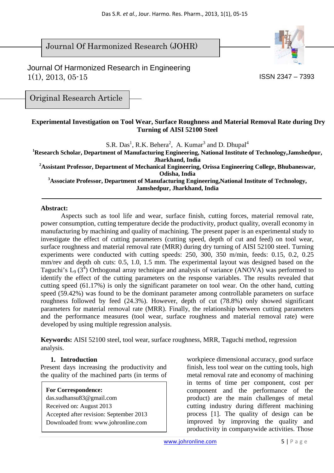Journal Of Harmonized Research (JOHR)



 Journal Of Harmonized Research in Engineering 1(1), 2013, 05-15

ISSN 2347 – 7393

Original Research Article

### **Experimental Investigation on Tool Wear, Surface Roughness and Material Removal Rate during Dry Turning of AISI 52100 Steel**

S.R.  $Das<sup>1</sup>$ , R.K. Behera<sup>2</sup>, A. Kumar<sup>3</sup> and D. Dhupal<sup>4</sup>

**<sup>1</sup>Research Scholar, Department of Manufacturing Engineering, National Institute of Technology,Jamshedpur, Jharkhand, India** 

**<sup>2</sup>Assistant Professor, Department of Mechanical Engineering, Orissa Engineering College, Bhubaneswar, Odisha, India** 

**<sup>3</sup>Associate Professor, Department of Manufacturing Engineering,National Institute of Technology, Jamshedpur, Jharkhand, India**

#### **Abstract:**

Aspects such as tool life and wear, surface finish, cutting forces, material removal rate, power consumption, cutting temperature decide the productivity, product quality, overall economy in manufacturing by machining and quality of machining. The present paper is an experimental study to investigate the effect of cutting parameters (cutting speed, depth of cut and feed) on tool wear, surface roughness and material removal rate (MRR) during dry turning of AISI 52100 steel. Turning experiments were conducted with cutting speeds: 250, 300, 350 m/min, feeds: 0.15, 0.2, 0.25 mm/rev and depth oh cuts: 0.5, 1.0, 1.5 mm. The experimental layout was designed based on the Taguchi's  $L_9$  (3<sup>4</sup>) Orthogonal array technique and analysis of variance (ANOVA) was performed to identify the effect of the cutting parameters on the response variables. The results revealed that cutting speed (61.17%) is only the significant parameter on tool wear. On the other hand, cutting speed (59.42%) was found to be the dominant parameter among controllable parameters on surface roughness followed by feed (24.3%). However, depth of cut (78.8%) only showed significant parameters for material removal rate (MRR). Finally, the relationship between cutting parameters and the performance measures (tool wear, surface roughness and material removal rate) were developed by using multiple regression analysis.

**Keywords:** AISI 52100 steel, tool wear, surface roughness, MRR, Taguchi method, regression analysis.

### **1. Introduction**

Present days increasing the productivity and the quality of the machined parts (in terms of

**For Correspondence:**  das.sudhansu83@gmail.com Received on: August 2013 Accepted after revision: September 2013 Downloaded from: www.johronline.com workpiece dimensional accuracy, good surface finish, less tool wear on the cutting tools, high metal removal rate and economy of machining in terms of time per component, cost per component and the performance of the product) are the main challenges of metal cutting industry during different machining process [1]. The quality of design can be improved by improving the quality and productivity in companywide activities. Those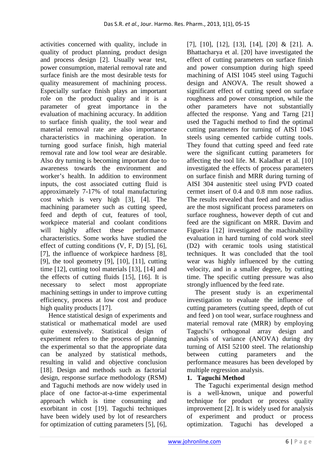activities concerned with quality, include in quality of product planning, product design and process design [2]. Usually wear test, power consumption, material removal rate and surface finish are the most desirable tests for quality measurement of machining process. Especially surface finish plays an important role on the product quality and it is a parameter of great importance in the evaluation of machining accuracy. In addition to surface finish quality, the tool wear and material removal rate are also importance characteristics in machining operation. In turning good surface finish, high material removal rate and low tool wear are desirable. Also dry turning is becoming important due to awareness towards the environment and worker's health. In addition to environment inputs, the cost associated cutting fluid is approximately 7-17% of total manufacturing cost which is very high [3], [4]. The machining parameter such as cutting speed, feed and depth of cut, features of tool, workpiece material and coolant conditions will highly affect these performance characteristics. Some works have studied the effect of cutting conditions (V, F, D) [5], [6], [7], the influence of workpiece hardness [8], [9], the tool geometry  $[9]$ ,  $[10]$ ,  $[11]$ , cutting time [12], cutting tool materials [13], [14] and the effects of cutting fluids [15], [16]. It is necessary to select most appropriate machining settings in under to improve cutting efficiency, process at low cost and produce high quality products [17].

Hence statistical design of experiments and statistical or mathematical model are used quite extensively. Statistical design of experiment refers to the process of planning the experimental so that the appropriate data can be analyzed by statistical methods, resulting in valid and objective conclusion [18]. Design and methods such as factorial design, response surface methodology (RSM) and Taguchi methods are now widely used in place of one factor-at-a-time experimental approach which is time consuming and exorbitant in cost [19]. Taguchi techniques have been widely used by lot of researchers for optimization of cutting parameters [5], [6],

[7], [10], [12], [13], [14], [20] & [21]. A. Bhattacharya et al. [20] have investigated the effect of cutting parameters on surface finish and power consumption during high speed machining of AISI 1045 steel using Taguchi design and ANOVA. The result showed a significant effect of cutting speed on surface roughness and power consumption, while the other parameters have not substantially affected the response. Yang and Tarng [21] used the Taguchi method to find the optimal cutting parameters for turning of AISI 1045 steels using cemented carbide cutting tools. They found that cutting speed and feed rate were the significant cutting parameters for affecting the tool life. M. Kaladhar et al. [10] investigated the effects of process parameters on surface finish and MRR during turning of AISI 304 austenitic steel using PVD coated cermet insert of 0.4 and 0.8 mm nose radius. The results revealed that feed and nose radius are the most significant process parameters on surface roughness, however depth of cut and feed are the significant on MRR. Davim and Figueira [12] investigated the machinability evaluation in hard turning of cold work steel (D2) with ceramic tools using statistical techniques. It was concluded that the tool wear was highly influenced by the cutting velocity, and in a smaller degree, by cutting time. The specific cutting pressure was also strongly influenced by the feed rate.

The present study is an experimental investigation to evaluate the influence of cutting parameters (cutting speed, depth of cut and feed ) on tool wear, surface roughness and material removal rate (MRR) by employing Taguchi's orthogonal array design and analysis of variance (ANOVA) during dry turning of AISI 52100 steel. The relationship between cutting parameters and the performance measures has been developed by multiple regression analysis.

# **1. Taguchi Method**

The Taguchi experimental design method is a well-known, unique and powerful technique for product or process quality improvement [2]. It is widely used for analysis of experiment and product or process optimization. Taguchi has developed a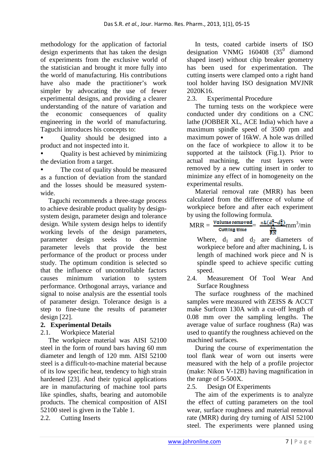methodology for the application of factorial design experiments that has taken the design of experiments from the exclusive world of the statistician and brought it more fully into the world of manufacturing. His contributions have also made the practitioner's work simpler by advocating the use of fewer experimental designs, and providing a clearer understanding of the nature of variation and the economic consequences of quality engineering in the world of manufacturing. Taguchi introduces his concepts to:

• Quality should be designed into a product and not inspected into it.

• Quality is best achieved by minimizing the deviation from a target.

The cost of quality should be measured as a function of deviation from the standard and the losses should be measured systemwide.

Taguchi recommends a three-stage process to achieve desirable product quality by designsystem design, parameter design and tolerance design. While system design helps to identify working levels of the design parameters, parameter design seeks to determine parameter levels that provide the best performance of the product or process under study. The optimum condition is selected so that the influence of uncontrollable factors causes minimum variation to system performance. Orthogonal arrays, variance and signal to noise analysis are the essential tools of parameter design. Tolerance design is a step to fine-tune the results of parameter design [22].

# **2. Experimental Details**

2.1. Workpiece Material

The workpiece material was AISI 52100 steel in the form of round bars having 60 mm diameter and length of 120 mm. AISI 52100 steel is a difficult-to-machine material because of its low specific heat, tendency to high strain hardened [23]. And their typical applications are in manufacturing of machine tool parts like spindles, shafts, bearing and automobile products. The chemical composition of AISI 52100 steel is given in the Table 1.

## 2.2. Cutting Inserts

In tests, coated carbide inserts of ISO designation VNMG  $160408$   $(35^0$  diamond shaped inset) without chip breaker geometry has been used for experimentation. The cutting inserts were clamped onto a right hand tool holder having ISO designation MVJNR 2020K16.

2.3. Experimental Procedure

The turning tests on the workpiece were conducted under dry conditions on a CNC lathe (JOBBER XL, ACE India) which have a maximum spindle speed of 3500 rpm and maximum power of 16kW. A hole was drilled on the face of workpiece to allow it to be supported at the tailstock (Fig.1). Prior to actual machining, the rust layers were removed by a new cutting insert in order to minimize any effect of in homogeneity on the experimental results.

Material removal rate (MRR) has been calculated from the difference of volume of workpiece before and after each experiment by using the following formula.

$$
MRR = \frac{\text{Volume removed}}{\text{Cutting time}} = \frac{\pi L (d_{\frac{1}{2}}^2 - d_{\frac{1}{2}}^2)}{\frac{\pi L}{\pi N}} \text{mm}^3/\text{min}
$$

Where,  $d_1$  and  $d_2$  are diameters of workpiece before and after machining, L is length of machined work piece and N is spindle speed to achieve specific cutting speed.

2.4. Measurement Of Tool Wear And Surface Roughness

The surface roughness of the machined samples were measured with ZEISS & ACCT make Surfcom 130A with a cut-off length of 0.08 mm over the sampling lengths. The average value of surface roughness (Ra) was used to quantify the roughness achieved on the machined surfaces.

During the course of experimentation the tool flank wear of worn out inserts were measured with the help of a profile projector (make: Nikon V-12B) having magnification in the range of 5-500X.

2.5. Design Of Experiments

The aim of the experiments is to analyze the effect of cutting parameters on the tool wear, surface roughness and material removal rate (MRR) during dry turning of AISI 52100 steel. The experiments were planned using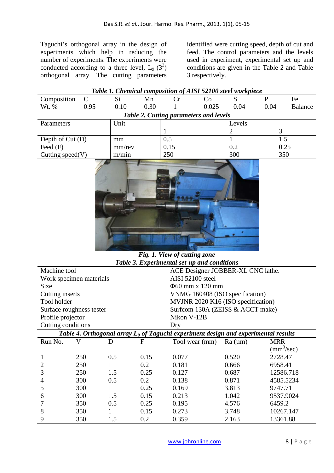Taguchi's orthogonal array in the design of experiments which help in reducing the number of experiments. The experiments were conducted according to a three level,  $L_9$  (3<sup>3</sup>) orthogonal array. The cutting parameters

identified were cutting speed, depth of cut and feed. The control parameters and the levels used in experiment, experimental set up and conditions are given in the Table 2 and Table 3 respectively.

| Table 1. Chemical composition of AISI 52100 steel workpiece |      |        |      |     |             |        |      |                |
|-------------------------------------------------------------|------|--------|------|-----|-------------|--------|------|----------------|
| Composition                                                 |      | Si     | Mn   |     | $\circ$     |        |      | Fe             |
| Wt. %                                                       | 0.95 | 0.10   | 0.30 |     | 0.025       | 0.04   | 0.04 | <b>Balance</b> |
| Table 2. Cutting parameters and levels                      |      |        |      |     |             |        |      |                |
| Parameters                                                  |      | Unit   |      |     |             | Levels |      |                |
|                                                             |      |        |      |     |             |        |      |                |
| Depth of Cut (D)                                            |      | mm     |      | 0.5 |             |        | 1.5  |                |
| Feed $(F)$                                                  |      | mm/rev |      |     | 0.15<br>0.2 |        | 0.25 |                |
| Cutting speed $(V)$                                         |      | m/min  |      | 250 |             | 300    |      | 350            |
|                                                             |      |        |      |     |             |        |      |                |



*Fig. 1. View of cutting zone Table 3. Experimental set-up and conditions* 

| Machine tool                                                                                   |     |     |      | ACE Designer JOBBER-XL CNC lathe. |                                    |                            |  |  |
|------------------------------------------------------------------------------------------------|-----|-----|------|-----------------------------------|------------------------------------|----------------------------|--|--|
| Work specimen materials                                                                        |     |     |      | AISI 52100 steel                  |                                    |                            |  |  |
| Size                                                                                           |     |     |      |                                   | $\Phi$ 60 mm x 120 mm              |                            |  |  |
| Cutting inserts                                                                                |     |     |      |                                   | VNMG 160408 (ISO specification)    |                            |  |  |
| Tool holder                                                                                    |     |     |      |                                   | MVJNR 2020 K16 (ISO specification) |                            |  |  |
| Surface roughness tester                                                                       |     |     |      |                                   | Surfcom 130A (ZEISS & ACCT make)   |                            |  |  |
| Profile projector                                                                              |     |     |      | Nikon V-12B                       |                                    |                            |  |  |
| Cutting conditions                                                                             |     |     |      | Dry                               |                                    |                            |  |  |
| Table 4. Orthogonal array L <sub>9</sub> of Taguchi experiment design and experimental results |     |     |      |                                   |                                    |                            |  |  |
| Run No.                                                                                        | V   | Ð   | F    | Tool wear (mm)                    | Ra (µm)                            | <b>MRR</b>                 |  |  |
|                                                                                                |     |     |      |                                   |                                    | $\text{(mm}^3/\text{sec})$ |  |  |
|                                                                                                | 250 | 0.5 | 0.15 | 0.077                             | 0.520                              | 2728.47                    |  |  |
| 2                                                                                              | 250 | 1   | 0.2  | 0.181                             | 0.666                              | 6958.41                    |  |  |
| 3                                                                                              | 250 | 1.5 | 0.25 | 0.127                             | 0.687                              | 12586.718                  |  |  |
| 4                                                                                              | 300 | 0.5 | 0.2  | 0.138                             | 0.871                              | 4585.5234                  |  |  |
| 5                                                                                              | 300 | 1   | 0.25 | 0.169                             | 3.813                              | 9747.71                    |  |  |
| 6                                                                                              | 300 | 1.5 | 0.15 | 0.213                             | 1.042                              | 9537.9024                  |  |  |
|                                                                                                | 350 | 0.5 | 0.25 | 0.195                             | 4.576                              | 6459.2                     |  |  |
| 8                                                                                              | 350 |     | 0.15 | 0.273                             | 3.748                              | 10267.147                  |  |  |
| 9                                                                                              | 350 | 1.5 | 0.2  | 0.359                             | 2.163                              | 13361.88                   |  |  |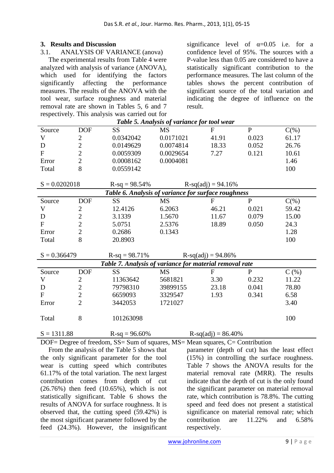### **3. Results and Discussion**

#### 3.1. ANALYSIS OF VARIANCE (anova)

The experimental results from Table 4 were analyzed with analysis of variance (ANOVA), which used for identifying the factors significantly affecting the performance measures. The results of the ANOVA with the tool wear, surface roughness and material removal rate are shown in Tables 5, 6 and 7 respectively. This analysis was carried out for significance level of  $\alpha=0.05$  i.e. for a confidence level of 95%. The sources with a P-value less than 0.05 are considered to have a statistically significant contribution to the performance measures. The last column of the tables shows the percent contribution of significant source of the total variation and indicating the degree of influence on the result.

| Table 5. Analysis of variance for tool wear             |                |                 |                      |                       |              |         |  |  |  |
|---------------------------------------------------------|----------------|-----------------|----------------------|-----------------------|--------------|---------|--|--|--|
| Source                                                  | <b>DOF</b>     | <b>SS</b>       | MS                   | $\mathbf{F}$          | $\mathbf{P}$ | $C(\%)$ |  |  |  |
| V                                                       | $\overline{2}$ | 0.0342042       | 0.0171021            | 41.91                 | 0.023        | 61.17   |  |  |  |
| D                                                       | $\overline{2}$ | 0.0149629       | 0.0074814            | 18.33                 | 0.052        | 26.76   |  |  |  |
| $\mathbf F$                                             | $\overline{2}$ | 0.0059309       | 0.0029654            | 7.27                  | 0.121        | 10.61   |  |  |  |
| Error                                                   | $\overline{2}$ | 0.0008162       | 0.0004081            |                       |              | 1.46    |  |  |  |
| Total                                                   | 8              | 0.0559142       |                      |                       |              | 100     |  |  |  |
|                                                         |                |                 |                      |                       |              |         |  |  |  |
| $S = 0.0202018$                                         |                | $R-sq = 98.54%$ |                      | $R-sq(adj) = 94.16%$  |              |         |  |  |  |
| Table 6. Analysis of variance for surface roughness     |                |                 |                      |                       |              |         |  |  |  |
| Source                                                  | <b>DOF</b>     | <b>SS</b>       | <b>MS</b>            | ${\bf F}$             | $\mathbf{P}$ | $C(\%)$ |  |  |  |
| V                                                       | $\mathbf{2}$   | 12.4126         | 6.2063               | 46.21                 | 0.021        | 59.42   |  |  |  |
| D                                                       | $\overline{2}$ | 3.1339          | 1.5670               | 11.67                 | 0.079        | 15.00   |  |  |  |
| $\overline{F}$                                          | $\overline{2}$ | 5.0751          | 2.5376               | 18.89                 | 0.050        | 24.3    |  |  |  |
| Error                                                   | $\overline{2}$ | 0.2686          | 0.1343               |                       |              | 1.28    |  |  |  |
| Total                                                   | 8              | 20.8903         |                      |                       |              | 100     |  |  |  |
|                                                         |                |                 |                      |                       |              |         |  |  |  |
| $S = 0.366479$                                          |                | $R-sq = 98.71%$ | $R-sq(adj) = 94.86%$ |                       |              |         |  |  |  |
| Table 7. Analysis of variance for material removal rate |                |                 |                      |                       |              |         |  |  |  |
| Source                                                  | <b>DOF</b>     | <b>SS</b>       | <b>MS</b>            | $\mathbf{F}$          | $\mathbf{P}$ | $C$ (%) |  |  |  |
| V                                                       | $\mathbf{2}$   | 11363642        | 5681821              | 3.30                  | 0.232        | 11.22   |  |  |  |
| D                                                       | $\overline{2}$ | 79798310        | 39899155             | 23.18                 | 0.041        | 78.80   |  |  |  |
| $\mathbf{F}$                                            | $\overline{2}$ | 6659093         | 3329547              | 1.93                  | 0.341        | 6.58    |  |  |  |
| Error                                                   | $\overline{2}$ | 3442053         | 1721027              |                       |              | 3.40    |  |  |  |
|                                                         |                |                 |                      |                       |              |         |  |  |  |
| Total                                                   | 8              | 101263098       |                      |                       |              | 100     |  |  |  |
|                                                         |                |                 |                      |                       |              |         |  |  |  |
| $S = 1311.88$                                           |                | $R-sq = 96.60%$ |                      | $R-sq(adj) = 86.40\%$ |              |         |  |  |  |

DOF= Degree of freedom, SS= Sum of squares, MS= Mean squares, C= Contribution

From the analysis of the Table 5 shows that the only significant parameter for the tool wear is cutting speed which contributes 61.17% of the total variation. The next largest contribution comes from depth of cut (26.76%) then feed (10.65%), which is not statistically significant. Table 6 shows the results of ANOVA for surface roughness. It is observed that, the cutting speed (59.42%) is the most significant parameter followed by the feed (24.3%). However, the insignificant parameter (depth of cut) has the least effect (15%) in controlling the surface roughness. Table 7 shows the ANOVA results for the material removal rate (MRR). The results indicate that the depth of cut is the only found the significant parameter on material removal rate, which contribution is 78.8%. The cutting speed and feed does not present a statistical significance on material removal rate; which contribution are 11.22% and 6.58% respectively.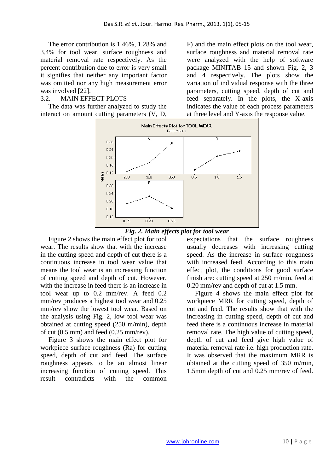The error contribution is 1.46%, 1.28% and 3.4% for tool wear, surface roughness and material removal rate respectively. As the percent contribution due to error is very small it signifies that neither any important factor was omitted nor any high measurement error was involved [22].

## 3.2. MAIN EFFECT PLOTS

The data was further analyzed to study the interact on amount cutting parameters (V, D,

F) and the main effect plots on the tool wear, surface roughness and material removal rate were analyzed with the help of software package MINITAB 15 and shown Fig. 2, 3 and 4 respectively. The plots show the variation of individual response with the three parameters, cutting speed, depth of cut and feed separately. In the plots, the X-axis indicates the value of each process parameters at three level and Y-axis the response value.





Figure 2 shows the main effect plot for tool wear. The results show that with the increase in the cutting speed and depth of cut there is a continuous increase in tool wear value that means the tool wear is an increasing function of cutting speed and depth of cut. However, with the increase in feed there is an increase in tool wear up to 0.2 mm/rev. A feed 0.2 mm/rev produces a highest tool wear and 0.25 mm/rev show the lowest tool wear. Based on the analysis using Fig. 2, low tool wear was obtained at cutting speed (250 m/min), depth of cut (0.5 mm) and feed (0.25 mm/rev).

Figure 3 shows the main effect plot for workpiece surface roughness (Ra) for cutting speed, depth of cut and feed. The surface roughness appears to be an almost linear increasing function of cutting speed. This result contradicts with the common

expectations that the surface roughness usually decreases with increasing cutting speed. As the increase in surface roughness with increased feed. According to this main effect plot, the conditions for good surface finish are: cutting speed at 250 m/min, feed at 0.20 mm/rev and depth of cut at 1.5 mm.

Figure 4 shows the main effect plot for workpiece MRR for cutting speed, depth of cut and feed. The results show that with the increasing in cutting speed, depth of cut and feed there is a continuous increase in material removal rate. The high value of cutting speed, depth of cut and feed give high value of material removal rate i.e. high production rate. It was observed that the maximum MRR is obtained at the cutting speed of 350 m/min, 1.5mm depth of cut and 0.25 mm/rev of feed.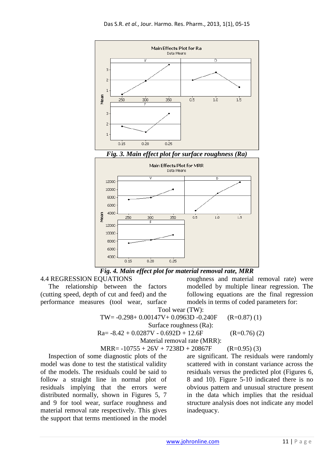



4.4 REGRESSION EQUATIONS

The relationship between the factors (cutting speed, depth of cut and feed) and the performance measures (tool wear, surface

roughness and material removal rate) were modelled by multiple linear regression. The following equations are the final regression models in terms of coded parameters for:

Tool wear (TW): TW=  $-0.298 + 0.00147V + 0.0963D -0.240F$  (R=0.87) (1) Surface roughness (Ra):  $Ra = -8.42 + 0.0287V - 0.692D + 12.6F$  (R=0.76) (2) Material removal rate (MRR):

$$
MRR = -10755 + 26V + 7238D + 20867F
$$
 (R=0.95) (3)

Inspection of some diagnostic plots of the model was done to test the statistical validity of the models. The residuals could be said to follow a straight line in normal plot of residuals implying that the errors were distributed normally, shown in Figures 5, 7 and 9 for tool wear, surface roughness and material removal rate respectively. This gives the support that terms mentioned in the model

are significant. The residuals were randomly scattered with in constant variance across the residuals versus the predicted plot (Figures 6, 8 and 10). Figure 5-10 indicated there is no obvious pattern and unusual structure present in the data which implies that the residual structure analysis does not indicate any model inadequacy.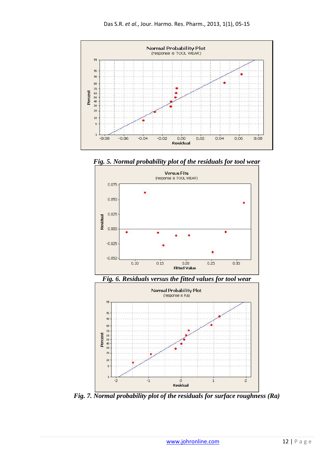

*Fig. 5. Normal probability plot of the residuals for tool wear* 



*Fig. 6. Residuals versus the fitted values for tool wear* 



*Fig. 7. Normal probability plot of the residuals for surface roughness (Ra)*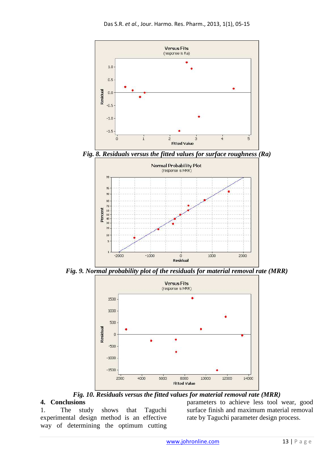

*Fig. 9. Normal probability plot of the residuals for material removal rate (MRR)* 



*Fig. 10. Residuals versus the fitted values for material removal rate (MRR)* 

## **4. Conclusions**

1. The study shows that Taguchi experimental design method is an effective way of determining the optimum cutting parameters to achieve less tool wear, good surface finish and maximum material removal rate by Taguchi parameter design process.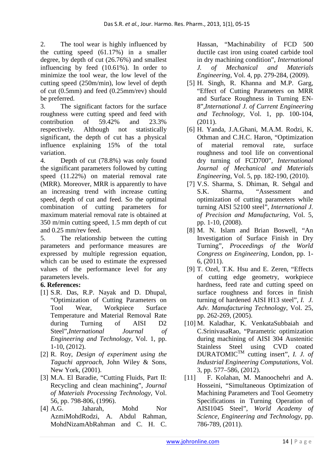2. The tool wear is highly influenced by the cutting speed (61.17%) in a smaller degree, by depth of cut (26.76%) and smallest influencing by feed (10.61%). In order to minimize the tool wear, the low level of the cutting speed (250m/min), low level of depth of cut (0.5mm) and feed (0.25mm/rev) should be preferred.

3. The significant factors for the surface roughness were cutting speed and feed with contribution of 59.42% and 23.3% respectively. Although not statistically significant, the depth of cut has a physical influence explaining 15% of the total variation.

4. Depth of cut (78.8%) was only found the significant parameters followed by cutting speed (11.22%) on material removal rate (MRR). Moreover, MRR is apparently to have an increasing trend with increase cutting speed, depth of cut and feed. So the optimal combination of cutting parameters for maximum material removal rate is obtained at 350 m/min cutting speed, 1.5 mm depth of cut and 0.25 mm/rev feed.

5. The relationship between the cutting parameters and performance measures are expressed by multiple regression equation, which can be used to estimate the expressed values of the performance level for any parameters levels.

# **6. References:**

- [1] S.R. Das, R.P. Nayak and D. Dhupal, "Optimization of Cutting Parameters on Tool Wear, Workpiece Surface Temperature and Material Removal Rate during Turning of AISI D2 Steel",*International Journal of Engineering and Technology*, Vol. 1, pp. 1-10, (2012).
- [2] R. Roy, *Design of experiment using the Taguchi approach*, John Wiley & Sons, New York, (2001).
- [3] M.A. El Baradie, "Cutting Fluids, Part II: Recycling and clean machining", *Journal of Materials Processing Technology*, Vol. 56, pp. 798-806, (1996).
- [4] A.G. Jaharah, Mohd Nor AzmiMohdRodzi, A. Abdul Rahman, MohdNizamAbRahman and C. H. C.

Hassan, "Machinability of FCD 500 ductile cast iron using coated carbide tool in dry machining condition", *International J. of Mechanical and Materials Engineering*, Vol. 4, pp. 279-284, (2009).

- [5] H. Singh, R. Khanna and M.P. Garg, "Effect of Cutting Parameters on MRR and Surface Roughness in Turning EN-8",*International J. of Current Engineering and Technology*, Vol. 1, pp. 100-104, (2011).
- [6] H. Yanda, J.A.Ghani, M.A.M. Rodzi, K. Othman and C.H.C. Haron, "Optimization of material removal rate, surface roughness and tool life on conventional dry turning of FCD700", *International Journal of Mechanical and Materials Engineering*, Vol. 5, pp. 182-190, (2010).
- [7] V.S. Sharma, S. Dhiman, R. Sehgal and S.K. Sharma, "Assessment and optimization of cutting parameters while turning AISI 52100 steel", *International J. of Precision and Manufacturing*, Vol. 5, pp. 1-10, (2008).
- [8] M. N. Islam and Brian Boswell, "An Investigation of Surface Finish in Dry Turning", *Proceedings of the World Congress on Engineering*, London, pp. 1- 6, (2011).
- [9] T. Ozel, T.K. Hsu and E. Zeren, "Effects of cutting edge geometry, workpiece hardness, feed rate and cutting speed on surface roughness and forces in finish turning of hardened AISI H13 steel", *I. J. Adv. Manufacturing Technology*, Vol. 25, pp. 262-269, (2005).
- [10] M. Kaladhar, K. VenkataSubbaiah and C.SrinivasaRao, "Parametric optimization during machining of AISI 304 Austenitic Stainless Steel using CVD coated  $DURATOMIC^{TM}$  cutting insert", *I. J. of Industrial Engineering Computations*, Vol. 3, pp. 577–586, (2012).
- [11] F. Kolahan, M. Manoochehri and A. Hosseini, "Simultaneous Optimization of Machining Parameters and Tool Geometry Specifications in Turning Operation of AISI1045 Steel", *World Academy of Science, Engineering and Technology*, pp. 786-789, (2011).